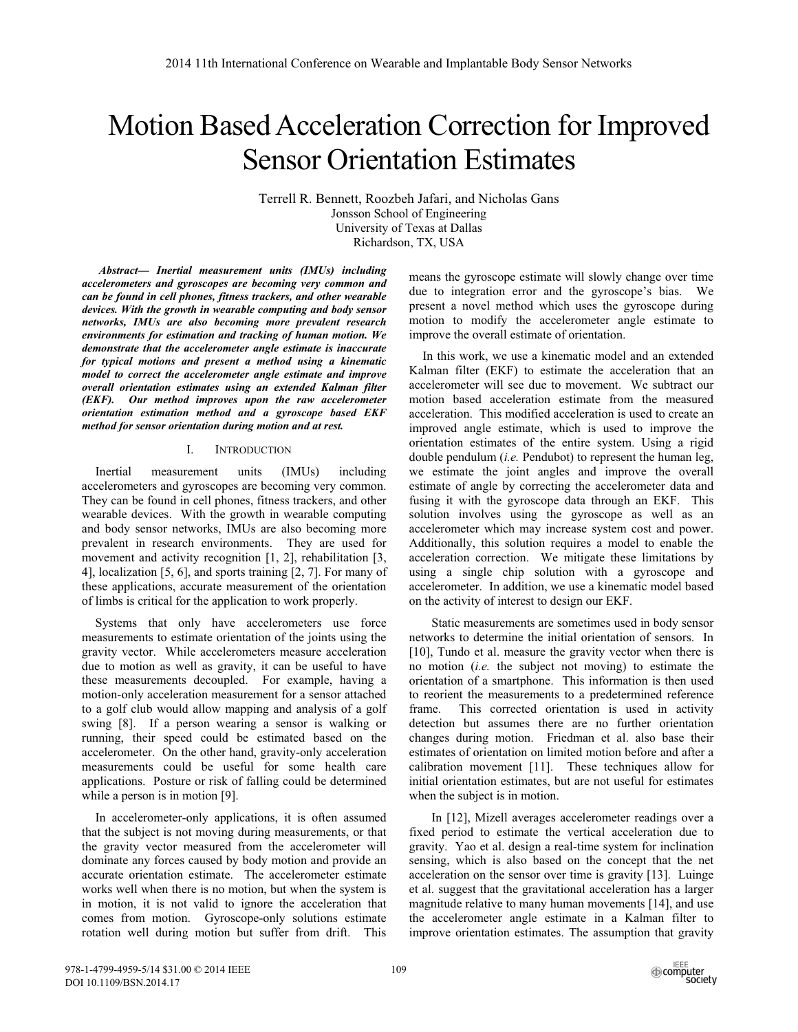# Motion Based Acceleration Correction for Improved Sensor Orientation Estimates

Terrell R. Bennett, Roozbeh Jafari, and Nicholas Gans Jonsson School of Engineering University of Texas at Dallas Richardson, TX, USA

*Abstract— Inertial measurement units (IMUs) including accelerometers and gyroscopes are becoming very common and can be found in cell phones, fitness trackers, and other wearable devices. With the growth in wearable computing and body sensor networks, IMUs are also becoming more prevalent research environments for estimation and tracking of human motion. We demonstrate that the accelerometer angle estimate is inaccurate for typical motions and present a method using a kinematic model to correct the accelerometer angle estimate and improve overall orientation estimates using an extended Kalman filter (EKF). Our method improves upon the raw accelerometer orientation estimation method and a gyroscope based EKF method for sensor orientation during motion and at rest.* 

## I. INTRODUCTION

Inertial measurement units (IMUs) including accelerometers and gyroscopes are becoming very common. They can be found in cell phones, fitness trackers, and other wearable devices. With the growth in wearable computing and body sensor networks, IMUs are also becoming more prevalent in research environments. They are used for movement and activity recognition [1, 2], rehabilitation [3, 4], localization [5, 6], and sports training [2, 7]. For many of these applications, accurate measurement of the orientation of limbs is critical for the application to work properly.

Systems that only have accelerometers use force measurements to estimate orientation of the joints using the gravity vector. While accelerometers measure acceleration due to motion as well as gravity, it can be useful to have these measurements decoupled. For example, having a motion-only acceleration measurement for a sensor attached to a golf club would allow mapping and analysis of a golf swing [8]. If a person wearing a sensor is walking or running, their speed could be estimated based on the accelerometer. On the other hand, gravity-only acceleration measurements could be useful for some health care applications. Posture or risk of falling could be determined while a person is in motion [9].

In accelerometer-only applications, it is often assumed that the subject is not moving during measurements, or that the gravity vector measured from the accelerometer will dominate any forces caused by body motion and provide an accurate orientation estimate. The accelerometer estimate works well when there is no motion, but when the system is in motion, it is not valid to ignore the acceleration that comes from motion. Gyroscope-only solutions estimate rotation well during motion but suffer from drift. This

means the gyroscope estimate will slowly change over time due to integration error and the gyroscope's bias. We present a novel method which uses the gyroscope during motion to modify the accelerometer angle estimate to improve the overall estimate of orientation.

In this work, we use a kinematic model and an extended Kalman filter (EKF) to estimate the acceleration that an accelerometer will see due to movement. We subtract our motion based acceleration estimate from the measured acceleration. This modified acceleration is used to create an improved angle estimate, which is used to improve the orientation estimates of the entire system. Using a rigid double pendulum (*i.e.* Pendubot) to represent the human leg, we estimate the joint angles and improve the overall estimate of angle by correcting the accelerometer data and fusing it with the gyroscope data through an EKF. This solution involves using the gyroscope as well as an accelerometer which may increase system cost and power. Additionally, this solution requires a model to enable the acceleration correction. We mitigate these limitations by using a single chip solution with a gyroscope and accelerometer. In addition, we use a kinematic model based on the activity of interest to design our EKF.

Static measurements are sometimes used in body sensor networks to determine the initial orientation of sensors. In [10], Tundo et al. measure the gravity vector when there is no motion (*i.e.* the subject not moving) to estimate the orientation of a smartphone. This information is then used to reorient the measurements to a predetermined reference frame. This corrected orientation is used in activity detection but assumes there are no further orientation changes during motion. Friedman et al. also base their estimates of orientation on limited motion before and after a calibration movement [11]. These techniques allow for initial orientation estimates, but are not useful for estimates when the subject is in motion.

In [12], Mizell averages accelerometer readings over a fixed period to estimate the vertical acceleration due to gravity. Yao et al. design a real-time system for inclination sensing, which is also based on the concept that the net acceleration on the sensor over time is gravity [13]. Luinge et al. suggest that the gravitational acceleration has a larger magnitude relative to many human movements [14], and use the accelerometer angle estimate in a Kalman filter to improve orientation estimates. The assumption that gravity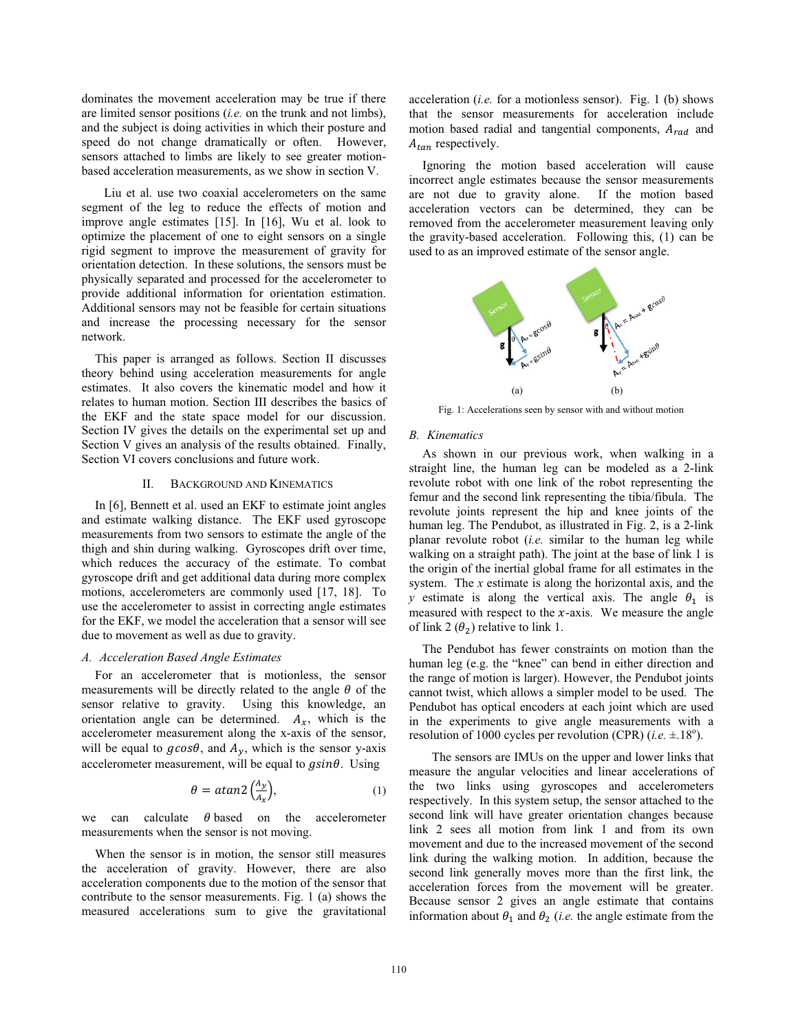dominates the movement acceleration may be true if there are limited sensor positions (*i.e.* on the trunk and not limbs), and the subject is doing activities in which their posture and speed do not change dramatically or often. However, sensors attached to limbs are likely to see greater motionbased acceleration measurements, as we show in section V.

Liu et al. use two coaxial accelerometers on the same segment of the leg to reduce the effects of motion and improve angle estimates [15]. In [16], Wu et al. look to optimize the placement of one to eight sensors on a single rigid segment to improve the measurement of gravity for orientation detection. In these solutions, the sensors must be physically separated and processed for the accelerometer to provide additional information for orientation estimation. Additional sensors may not be feasible for certain situations and increase the processing necessary for the sensor network.

This paper is arranged as follows. Section II discusses theory behind using acceleration measurements for angle estimates. It also covers the kinematic model and how it relates to human motion. Section III describes the basics of the EKF and the state space model for our discussion. Section IV gives the details on the experimental set up and Section V gives an analysis of the results obtained. Finally, Section VI covers conclusions and future work.

## II. BACKGROUND AND KINEMATICS

In [6], Bennett et al. used an EKF to estimate joint angles and estimate walking distance. The EKF used gyroscope measurements from two sensors to estimate the angle of the thigh and shin during walking. Gyroscopes drift over time, which reduces the accuracy of the estimate. To combat gyroscope drift and get additional data during more complex motions, accelerometers are commonly used [17, 18]. To use the accelerometer to assist in correcting angle estimates for the EKF, we model the acceleration that a sensor will see due to movement as well as due to gravity.

# *A. Acceleration Based Angle Estimates*

For an accelerometer that is motionless, the sensor measurements will be directly related to the angle  $\theta$  of the sensor relative to gravity. Using this knowledge, an orientation angle can be determined.  $A_x$ , which is the accelerometer measurement along the x-axis of the sensor, will be equal to  $g\cos\theta$ , and  $A_v$ , which is the sensor y-axis accelerometer measurement, will be equal to  $gsin\theta$ . Using

$$
\theta = \alpha \tan \frac{\left(\frac{A_y}{A_x}\right)}{1},\tag{1}
$$

we can calculate  $\theta$  based on the accelerometer measurements when the sensor is not moving.

When the sensor is in motion, the sensor still measures the acceleration of gravity. However, there are also acceleration components due to the motion of the sensor that contribute to the sensor measurements. Fig. 1 (a) shows the measured accelerations sum to give the gravitational

acceleration (*i.e.* for a motionless sensor). Fig. 1 (b) shows that the sensor measurements for acceleration include motion based radial and tangential components,  $A_{rad}$  and  $A_{tan}$  respectively.

Ignoring the motion based acceleration will cause incorrect angle estimates because the sensor measurements are not due to gravity alone. If the motion based acceleration vectors can be determined, they can be removed from the accelerometer measurement leaving only the gravity-based acceleration. Following this, (1) can be used to as an improved estimate of the sensor angle.



Fig. 1: Accelerations seen by sensor with and without motion

### *B. Kinematics*

As shown in our previous work, when walking in a straight line, the human leg can be modeled as a 2-link revolute robot with one link of the robot representing the femur and the second link representing the tibia/fibula. The revolute joints represent the hip and knee joints of the human leg. The Pendubot, as illustrated in Fig. 2, is a 2-link planar revolute robot (*i.e.* similar to the human leg while walking on a straight path). The joint at the base of link 1 is the origin of the inertial global frame for all estimates in the system. The *x* estimate is along the horizontal axis, and the *y* estimate is along the vertical axis. The angle  $\theta_1$  is measured with respect to the  $x$ -axis. We measure the angle of link 2  $(\theta_2)$  relative to link 1.

The Pendubot has fewer constraints on motion than the human leg (e.g. the "knee" can bend in either direction and the range of motion is larger). However, the Pendubot joints cannot twist, which allows a simpler model to be used. The Pendubot has optical encoders at each joint which are used in the experiments to give angle measurements with a resolution of 1000 cycles per revolution (CPR)  $(i.e. \pm .18^{\circ})$ .

 The sensors are IMUs on the upper and lower links that measure the angular velocities and linear accelerations of the two links using gyroscopes and accelerometers respectively. In this system setup, the sensor attached to the second link will have greater orientation changes because link 2 sees all motion from link 1 and from its own movement and due to the increased movement of the second link during the walking motion. In addition, because the second link generally moves more than the first link, the acceleration forces from the movement will be greater. Because sensor 2 gives an angle estimate that contains information about  $\theta_1$  and  $\theta_2$  (*i.e.* the angle estimate from the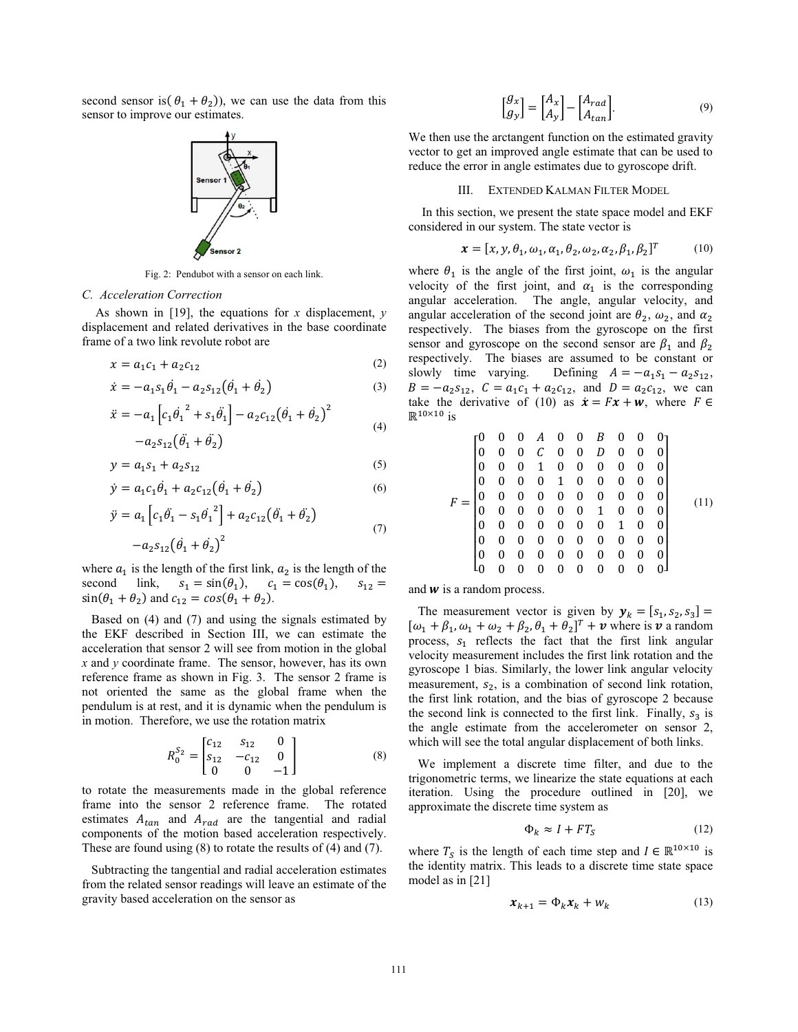second sensor is  $(\theta_1 + \theta_2)$ , we can use the data from this sensor to improve our estimates.



Fig. 2: Pendubot with a sensor on each link.

#### *C. Acceleration Correction*

As shown in [19], the equations for *x* displacement, *y* displacement and related derivatives in the base coordinate frame of a two link revolute robot are

$$
x = a_1 c_1 + a_2 c_{12} \tag{2}
$$

$$
\dot{x} = -a_1 s_1 \dot{\theta}_1 - a_2 s_{12} (\dot{\theta}_1 + \dot{\theta}_2)
$$
\n(3)

$$
\ddot{x} = -a_1 \left[ c_1 \dot{\theta}_1^2 + s_1 \ddot{\theta}_1 \right] - a_2 c_{12} \left( \dot{\theta}_1 + \dot{\theta}_2 \right)^2
$$
  

$$
-a_2 s_{12} \left( \ddot{\theta}_1 + \ddot{\theta}_2 \right)
$$
 (4)

$$
y = a_1 s_1 + a_2 s_{12} \tag{5}
$$

$$
\dot{y} = a_1 c_1 \dot{\theta}_1 + a_2 c_{12} (\dot{\theta}_1 + \dot{\theta}_2)
$$
\n(6)

$$
\ddot{y} = a_1 \left[ c_1 \ddot{\theta}_1 - s_1 {\dot{\theta}_1}^2 \right] + a_2 c_{12} (\ddot{\theta}_1 + \ddot{\theta}_2)
$$
\n(7)

$$
-a_2 s_{12} (\dot{\theta}_1 + \dot{\theta}_2)^2
$$

where  $a_1$  is the length of the first link,  $a_2$  is the length of the second link,  $s_1 = \sin(\theta_1)$ ,  $c_1 = \cos(\theta_1)$  $s_{12} =$  $\sin(\theta_1 + \theta_2)$  and  $c_{12} = \cos(\theta_1 + \theta_2)$ .

 Based on (4) and (7) and using the signals estimated by the EKF described in Section III, we can estimate the acceleration that sensor 2 will see from motion in the global *x* and *y* coordinate frame. The sensor, however, has its own reference frame as shown in Fig. 3. The sensor 2 frame is not oriented the same as the global frame when the pendulum is at rest, and it is dynamic when the pendulum is in motion. Therefore, we use the rotation matrix

$$
R_0^{S_2} = \begin{bmatrix} c_{12} & s_{12} & 0 \\ s_{12} & -c_{12} & 0 \\ 0 & 0 & -1 \end{bmatrix}
$$
 (8)

to rotate the measurements made in the global reference frame into the sensor 2 reference frame. The rotated estimates  $A_{tan}$  and  $A_{rad}$  are the tangential and radial components of the motion based acceleration respectively. These are found using (8) to rotate the results of (4) and (7).

 Subtracting the tangential and radial acceleration estimates from the related sensor readings will leave an estimate of the gravity based acceleration on the sensor as

$$
\begin{bmatrix} g_x \\ g_y \end{bmatrix} = \begin{bmatrix} A_x \\ A_y \end{bmatrix} - \begin{bmatrix} A_{rad} \\ A_{tan} \end{bmatrix}.
$$
 (9)

We then use the arctangent function on the estimated gravity vector to get an improved angle estimate that can be used to reduce the error in angle estimates due to gyroscope drift.

#### III. EXTENDED KALMAN FILTER MODEL

In this section, we present the state space model and EKF considered in our system. The state vector is

$$
\boldsymbol{x} = [x, y, \theta_1, \omega_1, \alpha_1, \theta_2, \omega_2, \alpha_2, \beta_1, \beta_2]^T
$$
 (10)

where  $\theta_1$  is the angle of the first joint,  $\omega_1$  is the angular velocity of the first joint, and  $\alpha_1$  is the corresponding angular acceleration. The angle, angular velocity, and angular acceleration of the second joint are  $\theta_2$ ,  $\omega_2$ , and  $\alpha_2$ respectively. The biases from the gyroscope on the first sensor and gyroscope on the second sensor are  $\beta_1$  and  $\beta_2$ respectively. The biases are assumed to be constant or slowly time varying. Defining  $A = -a_1 s_1 - a_2 s_{12}$ ,  $B = -a_2 s_{12}$ ,  $C = a_1 c_1 + a_2 c_{12}$ , and  $D = a_2 c_{12}$ , we can take the derivative of (10) as  $\dot{x} = Fx + w$ , where  $F \in$  $\mathbb{R}^{10\times 10}$  is

$$
F = \begin{bmatrix} 0 & 0 & 0 & A & 0 & 0 & B & 0 & 0 & 0 \\ 0 & 0 & 0 & C & 0 & 0 & D & 0 & 0 & 0 \\ 0 & 0 & 0 & 1 & 0 & 0 & 0 & 0 & 0 & 0 \\ 0 & 0 & 0 & 0 & 1 & 0 & 0 & 0 & 0 & 0 \\ 0 & 0 & 0 & 0 & 0 & 0 & 0 & 0 & 0 & 0 \\ 0 & 0 & 0 & 0 & 0 & 0 & 1 & 0 & 0 & 0 \\ 0 & 0 & 0 & 0 & 0 & 0 & 0 & 1 & 0 & 0 \\ 0 & 0 & 0 & 0 & 0 & 0 & 0 & 0 & 0 & 0 \\ 0 & 0 & 0 & 0 & 0 & 0 & 0 & 0 & 0 & 0 \\ 0 & 0 & 0 & 0 & 0 & 0 & 0 & 0 & 0 & 0 \end{bmatrix}
$$
(11)

and  $w$  is a random process.

The measurement vector is given by  $y_k = [s_1, s_2, s_3] =$  $[\omega_1 + \beta_1, \omega_1 + \omega_2 + \beta_2, \theta_1 + \theta_2]^T$  + v where is v a random process,  $s_1$  reflects the fact that the first link angular velocity measurement includes the first link rotation and the gyroscope 1 bias. Similarly, the lower link angular velocity measurement,  $s<sub>2</sub>$ , is a combination of second link rotation, the first link rotation, and the bias of gyroscope 2 because the second link is connected to the first link. Finally,  $s_3$  is the angle estimate from the accelerometer on sensor 2, which will see the total angular displacement of both links.

 We implement a discrete time filter, and due to the trigonometric terms, we linearize the state equations at each iteration. Using the procedure outlined in [20], we approximate the discrete time system as

$$
\Phi_k \approx I + FT_S \tag{12}
$$

where  $T_S$  is the length of each time step and  $I \in \mathbb{R}^{10 \times 10}$  is the identity matrix. This leads to a discrete time state space model as in [21]

$$
\boldsymbol{x}_{k+1} = \boldsymbol{\Phi}_k \boldsymbol{x}_k + \boldsymbol{w}_k \tag{13}
$$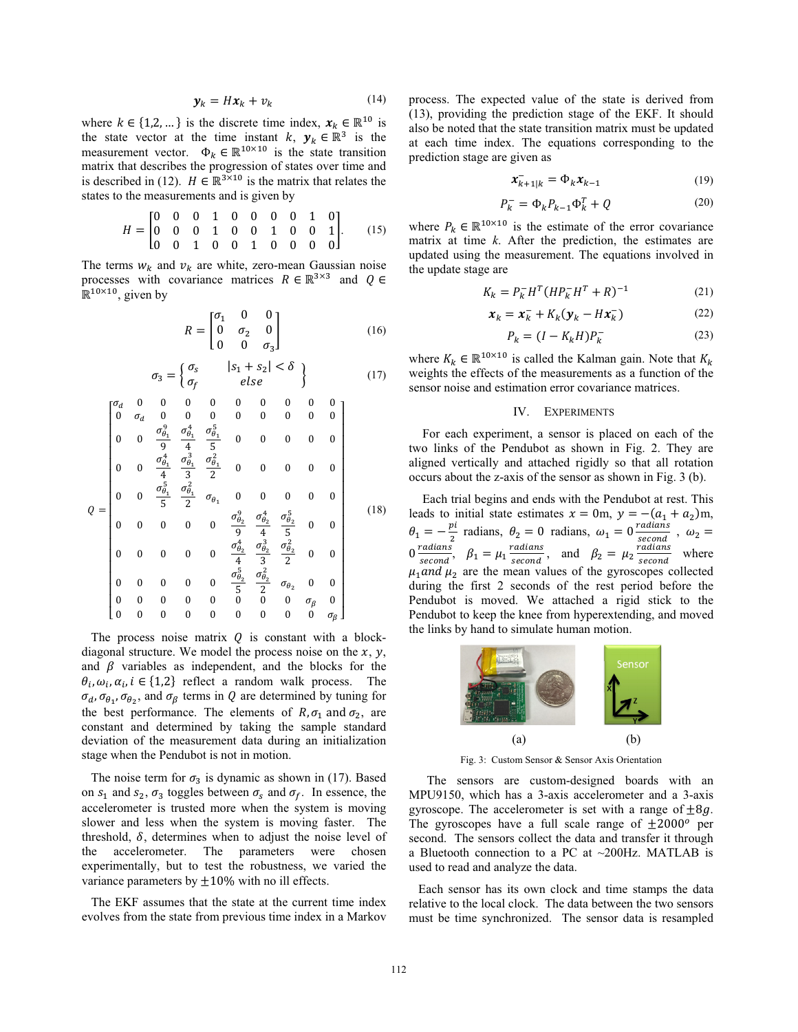$$
\mathbf{y}_k = H\mathbf{x}_k + \nu_k \tag{14}
$$

where  $k \in \{1,2,...\}$  is the discrete time index,  $x_k \in \mathbb{R}^{10}$  is the state vector at the time instant  $k, y_k \in \mathbb{R}^3$  is the measurement vector.  $\Phi_k \in \mathbb{R}^{10 \times 10}$  is the state transition matrix that describes the progression of states over time and is described in (12).  $H \in \mathbb{R}^{3 \times 10}$  is the matrix that relates the states to the measurements and is given by

$$
H = \begin{bmatrix} 0 & 0 & 0 & 1 & 0 & 0 & 0 & 0 & 1 & 0 \\ 0 & 0 & 0 & 1 & 0 & 0 & 1 & 0 & 0 & 1 \\ 0 & 0 & 1 & 0 & 0 & 1 & 0 & 0 & 0 & 0 \end{bmatrix}.
$$
 (15)

The terms  $w_k$  and  $v_k$  are white, zero-mean Gaussian noise processes with covariance matrices  $R \in \mathbb{R}^{3 \times 3}$  and  $Q \in$  $\mathbb{R}^{10\times10}$ , given by

$$
R = \begin{bmatrix} \sigma_1 & 0 & 0 \\ 0 & \sigma_2 & 0 \\ 0 & 0 & \sigma_3 \end{bmatrix}
$$
 (16)

$$
\sigma_3 = \begin{cases} \sigma_s & |s_1 + s_2| < \delta \\ \sigma_f & else \end{cases} \tag{17}
$$

$$
Q = \begin{bmatrix}\n\sigma_d & 0 & 0 & 0 & 0 & 0 & 0 & 0 & 0 & 0 \\
0 & \sigma_d & 0 & 0 & 0 & 0 & 0 & 0 & 0 & 0 \\
0 & 0 & \frac{\sigma_{\theta_1}^2}{9} & \frac{\sigma_{\theta_1}^4}{4} & \frac{\sigma_{\theta_1}^5}{5} & 0 & 0 & 0 & 0 & 0 \\
0 & 0 & \frac{\sigma_{\theta_1}^4}{4} & \frac{\sigma_{\theta_1}^3}{3} & \frac{\sigma_{\theta_1}^2}{2} & 0 & 0 & 0 & 0 & 0 \\
0 & 0 & \frac{\sigma_{\theta_1}^5}{5} & \frac{\sigma_{\theta_1}^2}{2} & \sigma_{\theta_1} & 0 & 0 & 0 & 0 & 0 \\
0 & 0 & 0 & 0 & \frac{\sigma_{\theta_2}^9}{9} & \frac{\sigma_{\theta_2}^4}{4} & \frac{\sigma_{\theta_2}^5}{5} & 0 & 0 \\
0 & 0 & 0 & 0 & \frac{\sigma_{\theta_2}^4}{4} & \frac{\sigma_{\theta_2}^3}{3} & \frac{\sigma_{\theta_2}^2}{2} & 0 & 0 \\
0 & 0 & 0 & 0 & 0 & \frac{\sigma_{\theta_2}^5}{5} & \frac{\sigma_{\theta_2}^2}{2} & \sigma_{\theta_2} & 0 & 0 \\
0 & 0 & 0 & 0 & 0 & 0 & 0 & \sigma_{\theta_1} & 0 \\
0 & 0 & 0 & 0 & 0 & 0 & 0 & 0 & \sigma_{\theta_2} & 0\n\end{bmatrix}
$$
(18)

The process noise matrix  $Q$  is constant with a blockdiagonal structure. We model the process noise on the  $x$ ,  $y$ , and  $\beta$  variables as independent, and the blocks for the  $\theta_i$ ,  $\omega_i$ ,  $\alpha_i$ ,  $i \in \{1,2\}$  reflect a random walk process. The  $\sigma_d$ ,  $\sigma_{\theta_1}$ ,  $\sigma_{\theta_2}$ , and  $\sigma_{\beta}$  terms in Q are determined by tuning for the best performance. The elements of  $R$ ,  $\sigma_1$  and  $\sigma_2$ , are constant and determined by taking the sample standard deviation of the measurement data during an initialization stage when the Pendubot is not in motion.

The noise term for  $\sigma_3$  is dynamic as shown in (17). Based on  $s_1$  and  $s_2$ ,  $\sigma_3$  toggles between  $\sigma_s$  and  $\sigma_f$ . In essence, the accelerometer is trusted more when the system is moving slower and less when the system is moving faster. The threshold,  $\delta$ , determines when to adjust the noise level of the accelerometer. The parameters were chosen experimentally, but to test the robustness, we varied the variance parameters by  $\pm 10\%$  with no ill effects.

 The EKF assumes that the state at the current time index evolves from the state from previous time index in a Markov process. The expected value of the state is derived from (13), providing the prediction stage of the EKF. It should also be noted that the state transition matrix must be updated at each time index. The equations corresponding to the prediction stage are given as

$$
\boldsymbol{x}_{k+1|k}^- = \boldsymbol{\Phi}_k \boldsymbol{x}_{k-1} \tag{19}
$$

$$
P_k^- = \Phi_k P_{k-1} \Phi_k^T + Q \tag{20}
$$

where  $P_k \in \mathbb{R}^{10 \times 10}$  is the estimate of the error covariance matrix at time *k*. After the prediction, the estimates are updated using the measurement. The equations involved in the update stage are

$$
K_k = P_k^- H^T (H P_k^- H^T + R)^{-1}
$$
 (21)

$$
\boldsymbol{x}_k = \boldsymbol{x}_k^- + K_k (\boldsymbol{y}_k - H \boldsymbol{x}_k^-)
$$
 (22)

$$
P_k = (I - K_k H)P_k^-
$$
\n<sup>(23)</sup>

where  $K_k \in \mathbb{R}^{10 \times 10}$  is called the Kalman gain. Note that  $K_k$ weights the effects of the measurements as a function of the sensor noise and estimation error covariance matrices.

#### IV. EXPERIMENTS

For each experiment, a sensor is placed on each of the two links of the Pendubot as shown in Fig. 2. They are aligned vertically and attached rigidly so that all rotation occurs about the z-axis of the sensor as shown in Fig. 3 (b).

Each trial begins and ends with the Pendubot at rest. This leads to initial state estimates  $x = 0$ m,  $y = -(a_1 + a_2)$ m,  $\theta_1 = -\frac{pi}{2}$  radians,  $\theta_2 = 0$  radians,  $\omega_1 = 0 \frac{radians}{second}$ ,  $\omega_2 =$  $0 \frac{\text{radians}}{\text{second}}$ ,  $\beta_1 = \mu_1 \frac{\text{radians}}{\text{second}}$ , and  $\beta_2 = \mu_2 \frac{\text{radians}}{\text{second}}$  $\frac{u_{\text{values}}}{\text{second}}$  where  $\mu_1$  and  $\mu_2$  are the mean values of the gyroscopes collected during the first 2 seconds of the rest period before the Pendubot is moved. We attached a rigid stick to the Pendubot to keep the knee from hyperextending, and moved the links by hand to simulate human motion.



Fig. 3: Custom Sensor & Sensor Axis Orientation

The sensors are custom-designed boards with an MPU9150, which has a 3-axis accelerometer and a 3-axis gyroscope. The accelerometer is set with a range of  $\pm 8g$ . The gyroscopes have a full scale range of  $\pm 2000^{\circ}$  per second. The sensors collect the data and transfer it through a Bluetooth connection to a PC at  $\sim$ 200Hz. MATLAB is used to read and analyze the data.

 Each sensor has its own clock and time stamps the data relative to the local clock. The data between the two sensors must be time synchronized. The sensor data is resampled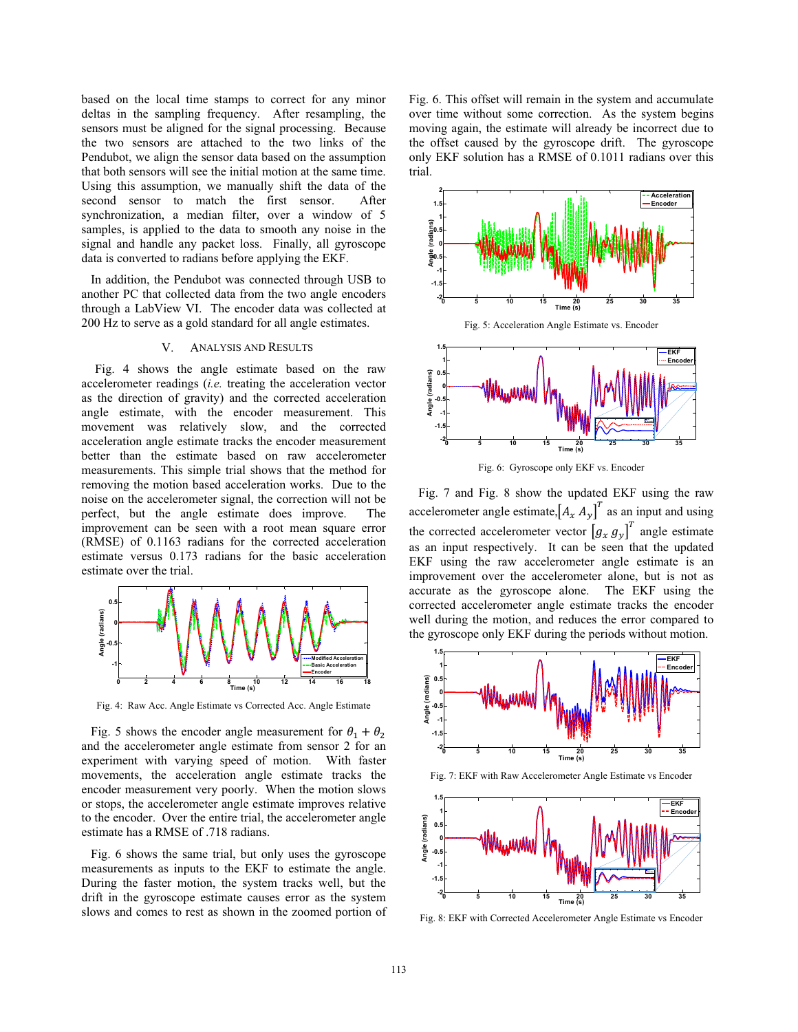based on the local time stamps to correct for any minor deltas in the sampling frequency. After resampling, the sensors must be aligned for the signal processing. Because the two sensors are attached to the two links of the Pendubot, we align the sensor data based on the assumption that both sensors will see the initial motion at the same time. Using this assumption, we manually shift the data of the second sensor to match the first sensor. After synchronization, a median filter, over a window of 5 samples, is applied to the data to smooth any noise in the signal and handle any packet loss. Finally, all gyroscope data is converted to radians before applying the EKF.

 In addition, the Pendubot was connected through USB to another PC that collected data from the two angle encoders through a LabView VI. The encoder data was collected at 200 Hz to serve as a gold standard for all angle estimates.

# V. ANALYSIS AND RESULTS

Fig. 4 shows the angle estimate based on the raw accelerometer readings (*i.e.* treating the acceleration vector as the direction of gravity) and the corrected acceleration angle estimate, with the encoder measurement. This movement was relatively slow, and the corrected acceleration angle estimate tracks the encoder measurement better than the estimate based on raw accelerometer measurements. This simple trial shows that the method for removing the motion based acceleration works. Due to the noise on the accelerometer signal, the correction will not be perfect, but the angle estimate does improve. The improvement can be seen with a root mean square error (RMSE) of 0.1163 radians for the corrected acceleration estimate versus 0.173 radians for the basic acceleration estimate over the trial.



Fig. 4: Raw Acc. Angle Estimate vs Corrected Acc. Angle Estimate

Fig. 5 shows the encoder angle measurement for  $\theta_1 + \theta_2$ and the accelerometer angle estimate from sensor 2 for an experiment with varying speed of motion. With faster movements, the acceleration angle estimate tracks the encoder measurement very poorly. When the motion slows or stops, the accelerometer angle estimate improves relative to the encoder. Over the entire trial, the accelerometer angle estimate has a RMSE of .718 radians.

 Fig. 6 shows the same trial, but only uses the gyroscope measurements as inputs to the EKF to estimate the angle. During the faster motion, the system tracks well, but the drift in the gyroscope estimate causes error as the system slows and comes to rest as shown in the zoomed portion of

Fig. 6. This offset will remain in the system and accumulate over time without some correction. As the system begins moving again, the estimate will already be incorrect due to the offset caused by the gyroscope drift. The gyroscope only EKF solution has a RMSE of 0.1011 radians over this trial.



Fig. 6: Gyroscope only EKF vs. Encoder

 Fig. 7 and Fig. 8 show the updated EKF using the raw accelerometer angle estimate,  $\left[A_x, A_y\right]^T$  as an input and using the corrected accelerometer vector  $\begin{bmatrix} g_x & g_y \end{bmatrix}^T$  angle estimate as an input respectively. It can be seen that the updated EKF using the raw accelerometer angle estimate is an improvement over the accelerometer alone, but is not as accurate as the gyroscope alone. The EKF using the corrected accelerometer angle estimate tracks the encoder well during the motion, and reduces the error compared to the gyroscope only EKF during the periods without motion.



Fig. 8: EKF with Corrected Accelerometer Angle Estimate vs Encoder